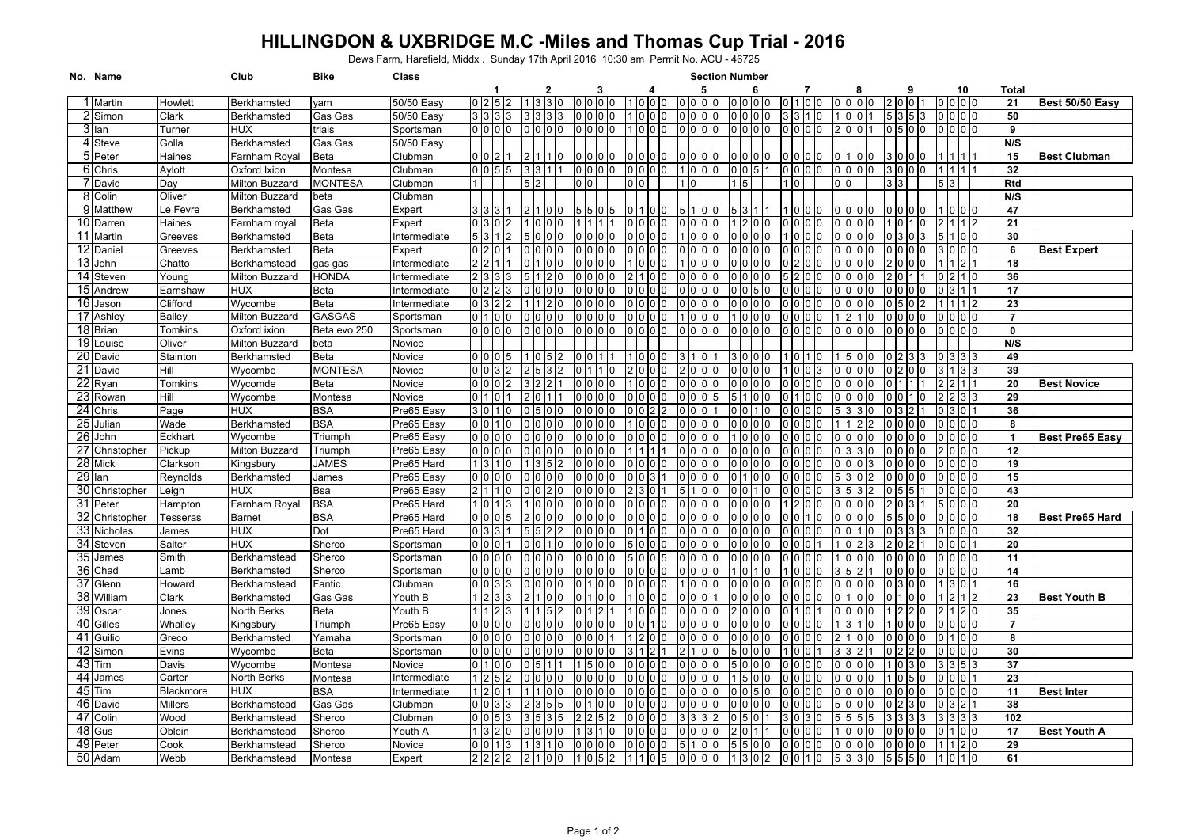## **HILLINGDON & UXBRIDGE M.C -Miles and Thomas Cup Trial - 2016**

Dews Farm, Harefield, Middx . Sunday 17th April 2016 10:30 am Permit No. ACU - 46725

| No. Name             |                  | Club                   | Bike               | Class        | <b>Section Number</b>                                                                                                                                                                          |                        |
|----------------------|------------------|------------------------|--------------------|--------------|------------------------------------------------------------------------------------------------------------------------------------------------------------------------------------------------|------------------------|
|                      |                  |                        |                    |              | 5<br>6<br>10<br>3<br>8<br>9<br>Total                                                                                                                                                           |                        |
| 1 Martin             | Howlett          | Berkhamsted            | yam                | 50/50 Easy   | 3 3 0<br>0 <sup>10</sup><br>0 <sub>0</sub><br>lo lo lo lo<br>10 10 10<br>0 2 5 2<br>0 <sub>10</sub><br>01011<br>0 0 0 0<br>21<br>In.<br>I٥                                                     | Best 50/50 Easy        |
| 2 Simon              | Clark            | Berkhamsted            | Gas Gas            | 50/50 Easy   | 50<br>$3 \mid 3 \mid 3 \mid 3$<br>0000<br>0 I O<br>1 <sub>0</sub><br>3 <sub>13</sub><br>010<br>0 0 0<br>In<br>535                                                                              |                        |
| 3 Ian                | Turner           | <b>HUX</b>             | trials             | Sportsman    | 0000<br>0 <sup>10</sup><br>o lo<br>0 <sub>0</sub><br>2001<br>0 <sub>5</sub> 0 <sub>0</sub><br>0000<br>9<br>0 <sup>10</sup><br>1 <sub>0</sub><br>0 <sub>0</sub><br>0 0 0 0<br>0 I O<br>IO<br>10 |                        |
| 4 Steve              | Golla            | Berkhamsted            | Gas Gas            | 50/50 Easy   | N/S                                                                                                                                                                                            |                        |
| 5 Peter              | Haines           | Farnham Royal          | <b>Beta</b>        | Clubman      | 010<br>15<br>0102<br>110<br>0 0 0 0<br>0 0 0<br>0 <sub>0</sub><br>0 0 0<br>0000<br>3 0 0 <br>10<br><b>0</b><br>10<br>n<br>n                                                                    | <b>Best Clubman</b>    |
| 6 Chris              | Aylott           | Oxford Ixion           | Montesa            | Clubman      | 32<br>0155<br>1010<br>0 0 0 0<br>0 0 5<br>0 <sup>10</sup><br>0 0 0 0<br>300<br>13<br>0 IO<br>1   1   1                                                                                         |                        |
| 7 David              | Day              | Milton Buzzard         | <b>MONTESA</b>     | Clubman      | 2<br>5<br>0 I O<br>$5\vert 3$<br>Rtd<br>3 3                                                                                                                                                    |                        |
| 8 Colin              | Oliver           | <b>Milton Buzzard</b>  | beta               | Clubman      | N/S                                                                                                                                                                                            |                        |
| 9 Matthew            | Le Fevre         | Berkhamsted            | Gas Gas            | Expert       | 47<br>3 3 3<br>$5\,$ 5<br>5 3 1<br>$00$ $00$<br>2100<br>011<br>5110<br>0 <sub>0</sub><br>0 0 0 0<br>1 10 10 10<br>-5<br>n                                                                      |                        |
| 10 Darren            | Haines           | Farnham royal          | <b>Beta</b>        | Expert       | 21<br>0.302<br>0 <sub>0</sub><br>12<br>210<br>10<br>n In<br>0 <sub>0</sub><br>110                                                                                                              |                        |
| 11 Martin            | Greeves          | Berkhamsted            | <b>Beta</b>        | Intermediate | 30<br>5 3 1 2<br>0000<br>5 1 0 0<br>0 <sub>0</sub><br>0 0 0                                                                                                                                    |                        |
| 12 Daniel            | Greeves          | Berkhamsted            | <b>Beta</b>        | Expert       | 0 2 0 <br>0 <sup>10</sup><br>$00$ $00$<br>3 0 0 0<br>6<br>0 <sup>10</sup><br>000<br>0 <sub>0</sub><br>0 IO                                                                                     | <b>Best Expert</b>     |
| 13 John              | Chatto           | Berkhamstead           | gas gas            | Intermediate | 18<br>2<br>0 <sup>10</sup><br>000<br>0 0 0<br> 2 1<br>0 IO<br>0<br>I0                                                                                                                          |                        |
| 14 Steven            | Young            | Milton Buzzard         | HONDA              | Intermediate | 36<br>210<br>0 0<br>000<br>12<br>10                                                                                                                                                            |                        |
| 15 Andrew            | Earnshaw         | HUX                    | Beta               | Intermediate | 17<br>0 <sup>10</sup><br><b>O</b><br>0 0 0 0<br>0 <sub>0</sub><br> 3 1<br>10<br>I۵                                                                                                             |                        |
| 16 Jason             | Clifford         | Wycombe                | <b>Beta</b>        | Intermediate | 23<br>0 3 2 2<br>2 <sub>0</sub><br>000<br>000<br>0000<br>0000<br>I0.<br>$\overline{2}$                                                                                                         |                        |
| 17 Ashley            | <b>Bailey</b>    | Milton Buzzard         | <b>GASGAS</b>      | Sportsman    | $\overline{7}$<br>01100<br>0 <sub>0</sub><br>0 <sup>10</sup><br>1 2<br>o lo lo lo<br>10<br>110<br>I <sub>0</sub><br>10                                                                         |                        |
| 18 Brian             | Tomkins          | Oxford ixion           | Beta evo 250       | Sportsman    | $\mathbf 0$<br>01010<br>0 <sup>10</sup><br>01010<br>n In In In<br>0000<br>0 0 0 0<br>0000<br>In<br>n In<br>0 0<br>0 Q<br>I٥<br>I٥<br>0 0 0<br>IO                                               |                        |
| 19 Louise            | Oliver           | Milton Buzzard         | beta               | Novice       | N/S                                                                                                                                                                                            |                        |
| 20 David             | Stainton         | Berkhamsted            | <b>Beta</b>        | Novice       | 49<br>005<br>0 <sup>10</sup><br>1500<br>0 3 3 3<br>l O                                                                                                                                         |                        |
| 21 David             | Hill             | Wycombe                | <b>MONTESA</b>     | Novice       | 39<br>0 3 2<br>0 <sub>0</sub><br>0 <sub>0</sub><br>In I<br>31133<br>$1\,0$<br>$\overline{0}$<br>$\overline{0}$                                                                                 |                        |
| $22$ <sub>Ryan</sub> | Tomkins          | Wycomde                | Beta               | Novice       | 20<br>002<br>0<br>10                                                                                                                                                                           | <b>Best Novice</b>     |
| 23 Rowan             | Hill             | Wycombe                | Montesa            | Novice       | 29<br>2 2 3 3<br>0110<br>0 0 1<br>10<br>000<br>10<br>ıc                                                                                                                                        |                        |
| 24 Chris             | Page             | HUX                    | <b>BSA</b>         | Pre65 Easy   | 36<br>1 <sub>0</sub><br>0 <sup>0</sup><br>0131011<br>5<br>0                                                                                                                                    |                        |
| 25 Julian            | Wade             | Berkhamsted            | <b>BSA</b>         | Pre65 Easy   | 8<br>0 <sup>10</sup><br>0 <sup>10</sup><br>000<br>o lo lo lo<br>110<br>10 I<br>0 <sub>10</sub>                                                                                                 |                        |
| 26 John              | Eckhart          | Wycombe                | Triumph            | Pre65 Easy   | $\mathbf{1}$<br>0000<br>0 <sub>0</sub><br>0000<br>0 IO<br>0 <sub>10</sub><br>0 <sub>0</sub><br>0101<br>חו ח<br>סו כ                                                                            | <b>Best Pre65 Easy</b> |
| 27 Christopher       | Pickup           | Milton Buzzard         | Triumph            | Pre65 Easy   | 12<br>0 0 0 0<br>2000<br>0 <sub>0</sub><br>IN IN<br>I0.                                                                                                                                        |                        |
| 28 Mick              | Clarkson         | Kingsbury              | <b>JAMES</b>       | Pre65 Hard   | 19<br>1 <sup>3</sup><br>1 <sub>0</sub><br>o lo<br>o lo lo lo<br>o lo lo<br>0 <sub>0</sub><br>n.                                                                                                |                        |
| 29 Ian               | Reynolds         | Berkhamsted            | James              | Pre65 Easy   | 15<br>0000<br>0 0 0<br>$00$ $00$<br>0000<br>n In<br>0 IO<br>0 IO I<br>0 IO<br>5 I<br><b>O</b><br>$\overline{2}$<br>n<br>ın                                                                     |                        |
| 30 Christopher       | Leigh            | HUX                    | Bsa                | Pre65 Easy   | 43<br>21110<br>0000<br><b>O</b>                                                                                                                                                                |                        |
| 31 Peter             | Hampton          | Farnham Royal          | <b>BSA</b>         | Pre65 Hard   | 20<br>0 <sub>0</sub><br>5000<br> 0 1 3<br>0000<br>ın<br>10<br>l3<br>ın                                                                                                                         |                        |
| 32 Christopher       | Tesseras         | <b>Barnet</b>          | <b>BSA</b>         | Pre65 Hard   | 18<br>0 0 0 5<br>0 <sup>0</sup><br>0 0<br>0 0 0 0<br>0<br>$\overline{0}$<br>$\overline{0}$<br>١o                                                                                               | Best Pre65 Hard        |
| 33 Nicholas          | James            | <b>HUX</b>             | Dot                | Pre65 Hard   | 32<br>$0 \mid 3 \mid 3$<br>2 <sub>2</sub><br>00<br>0 0 0 0<br>5 15<br>0 <sup>10</sup><br><b>10</b><br>10<br>3                                                                                  |                        |
| 34 Steven            | Salter           | HUX                    | Sherco             | Sportsman    | 20<br>$0 0 0$<br>0001<br>10<br>n In<br>l n<br>0 0 0<br>0 <sub>0</sub><br>1 <sub>0</sub><br>I٥<br>I٥<br>0 <sub>0</sub>                                                                          |                        |
| 35 James             | Smith            | Berkhamstead           | Sherco             | Sportsman    | $0.01010$<br>11<br>0 <sub>0</sub><br>0 O O<br>I0.<br>10<br>0 <sub>0</sub><br>0000<br>0 <sub>0</sub>                                                                                            |                        |
| 36 Chad              | Lamb             | Berkhamsted            | Sherco             | Sportsman    | 14<br>0 0 0 0<br>0 <sup>10</sup><br>0 0 0 0<br>n In<br>$\Omega$<br>0 <sub>0</sub>                                                                                                              |                        |
| 37 Glenn             | Howard           | Berkhamstead           | Fantic             | Clubman      | 16<br>0101313<br>01010<br>0000<br>1 13 10 11<br>0 <sup>10</sup><br>0 IO<br>0 0 0<br>0 IO<br>0 <sup>13</sup><br>$\overline{0}$                                                                  |                        |
| 38 William           | Clark            | Berkhamsted            | Gas Gas            | Youth B      | 23<br>0 <sub>0</sub><br>$\overline{2}$<br>$\overline{2}$<br><sup>0</sup>                                                                                                                       | <b>Best Youth B</b>    |
| 39 Oscar             | Jones            | North Berks            | Beta               | Youth B      | 35<br>$\overline{0}$<br><sup>0</sup><br>n In<br><sup>0</sup>                                                                                                                                   |                        |
| 40 Gilles            | Whalley          | Kingsbury              | Triumph            | Pre65 Easy   | $\overline{7}$<br>0 0 0 0<br>0 <sup>10</sup><br>0000<br>0<br>1 3<br>0 <sup>10</sup><br>10<br>0 O I<br>10                                                                                       |                        |
| 41 Guilio            | Greco            | Berkhamsted            | Yamaha             | Sportsman    | 8<br>2 I 1<br>0 <sup>10</sup><br>0 0 0 0<br>0 <sub>0</sub><br>l0 l<br>l0<br>$\Omega$                                                                                                           |                        |
| 42 Simon             | Evins            | Wycombe                | Beta               | Sportsman    | 30<br>0000<br>0 <sub>0</sub><br>0 <sub>0</sub><br>0000                                                                                                                                         |                        |
| 43 Tim               | Davis            |                        |                    | Novice       | 37<br>01100<br>0000<br>3 3 5 3<br>0 <sub>0</sub><br>IO I<br>1 1 1 3                                                                                                                            |                        |
| 44 James             | Carter           | Wycombe<br>North Berks | Montesa<br>Montesa | Intermediate | 23<br>1 O<br>10 I O                                                                                                                                                                            |                        |
| $45$ Tim             | <b>Blackmore</b> | <b>HUX</b>             | <b>BSA</b>         | Intermediate | 11<br>120<br>0 <sub>0</sub><br>$\Omega$<br>0000<br>0 <sub>0</sub><br>0000<br>IO I                                                                                                              | <b>Best Inter</b>      |
| 46 David             | <b>Millers</b>   |                        |                    | Clubman      | 05<br>$0\vert 3\vert 2$<br>38<br>$\Omega$<br>5 <sub>5</sub><br>0 I O<br>500<br>$\overline{2}$<br>$\Omega$<br><sup>0</sup>                                                                      |                        |
| 47 Colin             | Wood             | Berkhamstead           | Gas Gas            |              | 0 0<br>102                                                                                                                                                                                     |                        |
| 48 Gus               | Oblein           | Berkhamstead           | Sherco             | Clubman      | 3 <sub>5</sub><br>333<br>5<br> 0 5 3<br>5<br>5                                                                                                                                                 |                        |
|                      |                  | Berkhamstead           | Sherco             | Youth A      | 17<br>0 <sub>0</sub><br>01100<br>210<br>0<br>$\Omega$<br>10<br>10<br>0 IO<br>0 <sub>0</sub><br>١O<br>10<br>I۵<br>0 <sup>10</sup>                                                               | Best Youth A           |
| 49 Peter             | Cook             | Berkhamstead           | Sherco             | Novice       | 29<br>2 0<br>0 <sup>10</sup><br>$1\vert 3$<br>1 3 1 0<br>0 <sup>10</sup><br>5 <sub>0</sub><br>0000<br>0000<br><b>O</b><br>10<br>010<br>0 0                                                     |                        |
| 50 Adam              | Webb             | Berkhamstead           | Montesa            | Expert       | 61<br>2 2 2 2<br>2 1 0 0<br>1052<br>1 1 0 5<br>1302<br>0 0 1 0<br>5330<br>5 5 5 0<br>1 0 1<br>0<br>0 0 0 0                                                                                     |                        |